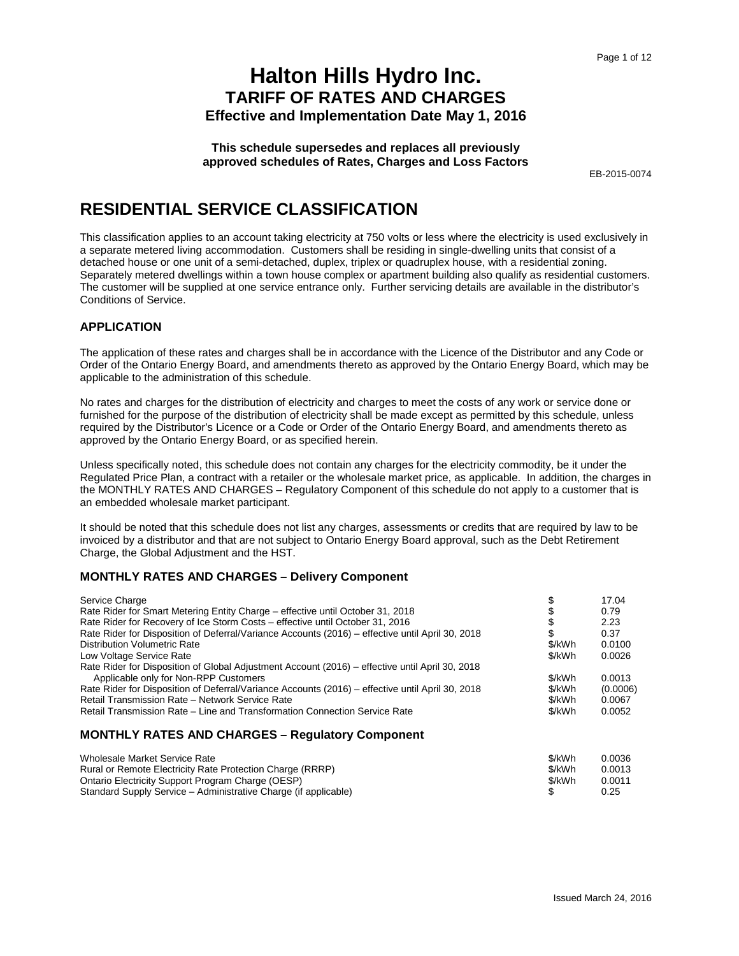**This schedule supersedes and replaces all previously approved schedules of Rates, Charges and Loss Factors**

EB-2015-0074

## **RESIDENTIAL SERVICE CLASSIFICATION**

This classification applies to an account taking electricity at 750 volts or less where the electricity is used exclusively in a separate metered living accommodation. Customers shall be residing in single-dwelling units that consist of a detached house or one unit of a semi-detached, duplex, triplex or quadruplex house, with a residential zoning. Separately metered dwellings within a town house complex or apartment building also qualify as residential customers. The customer will be supplied at one service entrance only. Further servicing details are available in the distributor's Conditions of Service.

#### **APPLICATION**

The application of these rates and charges shall be in accordance with the Licence of the Distributor and any Code or Order of the Ontario Energy Board, and amendments thereto as approved by the Ontario Energy Board, which may be applicable to the administration of this schedule.

No rates and charges for the distribution of electricity and charges to meet the costs of any work or service done or furnished for the purpose of the distribution of electricity shall be made except as permitted by this schedule, unless required by the Distributor's Licence or a Code or Order of the Ontario Energy Board, and amendments thereto as approved by the Ontario Energy Board, or as specified herein.

Unless specifically noted, this schedule does not contain any charges for the electricity commodity, be it under the Regulated Price Plan, a contract with a retailer or the wholesale market price, as applicable. In addition, the charges in the MONTHLY RATES AND CHARGES – Regulatory Component of this schedule do not apply to a customer that is an embedded wholesale market participant.

It should be noted that this schedule does not list any charges, assessments or credits that are required by law to be invoiced by a distributor and that are not subject to Ontario Energy Board approval, such as the Debt Retirement Charge, the Global Adjustment and the HST.

### **MONTHLY RATES AND CHARGES – Delivery Component**

| Service Charge                                                                                   |        | 17.04    |
|--------------------------------------------------------------------------------------------------|--------|----------|
| Rate Rider for Smart Metering Entity Charge - effective until October 31, 2018                   |        | 0.79     |
| Rate Rider for Recovery of Ice Storm Costs – effective until October 31, 2016                    |        | 2.23     |
| Rate Rider for Disposition of Deferral/Variance Accounts (2016) – effective until April 30, 2018 |        | 0.37     |
| <b>Distribution Volumetric Rate</b>                                                              | \$/kWh | 0.0100   |
| Low Voltage Service Rate                                                                         | \$/kWh | 0.0026   |
| Rate Rider for Disposition of Global Adjustment Account (2016) – effective until April 30, 2018  |        |          |
| Applicable only for Non-RPP Customers                                                            | \$/kWh | 0.0013   |
| Rate Rider for Disposition of Deferral/Variance Accounts (2016) – effective until April 30, 2018 | \$/kWh | (0.0006) |
| Retail Transmission Rate - Network Service Rate                                                  | \$/kWh | 0.0067   |
| Retail Transmission Rate – Line and Transformation Connection Service Rate                       | \$/kWh | 0.0052   |
|                                                                                                  |        |          |

| Wholesale Market Service Rate                                   | \$/kWh | 0.0036 |
|-----------------------------------------------------------------|--------|--------|
| Rural or Remote Electricity Rate Protection Charge (RRRP)       | \$/kWh | 0.0013 |
| Ontario Electricity Support Program Charge (OESP)               | \$/kWh | 0.0011 |
| Standard Supply Service – Administrative Charge (if applicable) |        | 0.25   |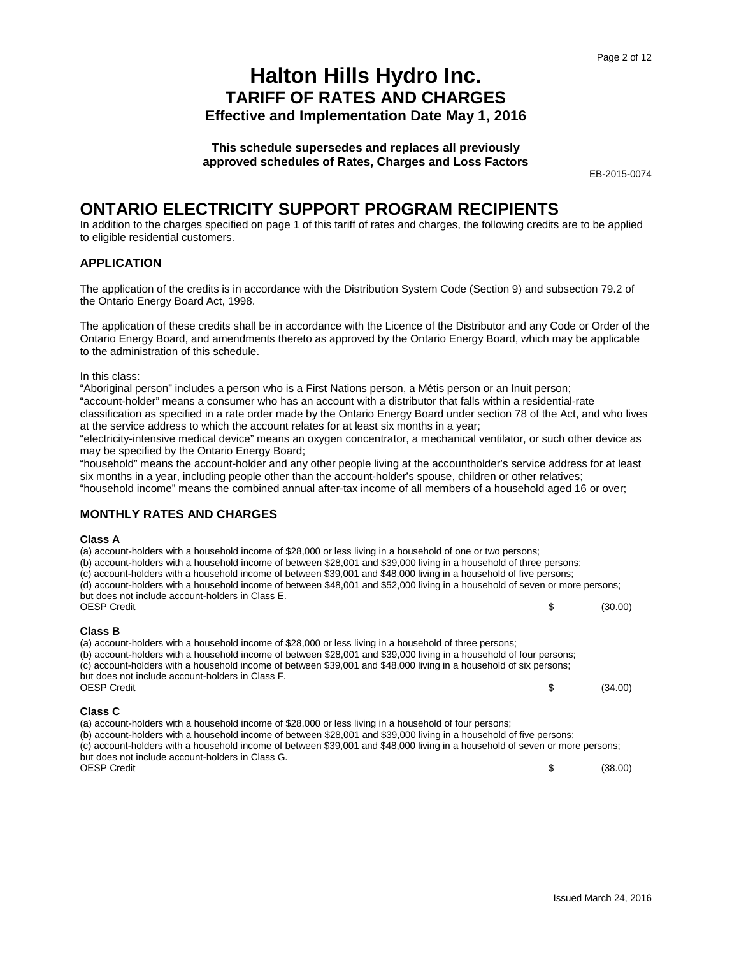**This schedule supersedes and replaces all previously approved schedules of Rates, Charges and Loss Factors**

EB-2015-0074

### **ONTARIO ELECTRICITY SUPPORT PROGRAM RECIPIENTS**

In addition to the charges specified on page 1 of this tariff of rates and charges, the following credits are to be applied to eligible residential customers.

#### **APPLICATION**

The application of the credits is in accordance with the Distribution System Code (Section 9) and subsection 79.2 of the Ontario Energy Board Act, 1998.

The application of these credits shall be in accordance with the Licence of the Distributor and any Code or Order of the Ontario Energy Board, and amendments thereto as approved by the Ontario Energy Board, which may be applicable to the administration of this schedule.

In this class:

"Aboriginal person" includes a person who is a First Nations person, a Métis person or an Inuit person; "account-holder" means a consumer who has an account with a distributor that falls within a residential-rate classification as specified in a rate order made by the Ontario Energy Board under section 78 of the Act, and who lives at the service address to which the account relates for at least six months in a year;

"electricity-intensive medical device" means an oxygen concentrator, a mechanical ventilator, or such other device as may be specified by the Ontario Energy Board;

"household" means the account-holder and any other people living at the accountholder's service address for at least six months in a year, including people other than the account-holder's spouse, children or other relatives; "household income" means the combined annual after-tax income of all members of a household aged 16 or over;

#### **MONTHLY RATES AND CHARGES**

#### **Class A**

(a) account-holders with a household income of \$28,000 or less living in a household of one or two persons; (b) account-holders with a household income of between \$28,001 and \$39,000 living in a household of three persons; (c) account-holders with a household income of between \$39,001 and \$48,000 living in a household of five persons; (d) account-holders with a household income of between \$48,001 and \$52,000 living in a household of seven or more persons; but does not include account-holders in Class E.<br>OESP Credit  $\text{OESP Credit}$  (30.00)

#### **Class B**

(a) account-holders with a household income of \$28,000 or less living in a household of three persons; (b) account-holders with a household income of between \$28,001 and \$39,000 living in a household of four persons; (c) account-holders with a household income of between \$39,001 and \$48,000 living in a household of six persons; but does not include account-holders in Class F.<br>OESP Credit  $\text{OESP}$  Credit  $\text{S}$  (34.00)

#### **Class C**

(a) account-holders with a household income of \$28,000 or less living in a household of four persons; (b) account-holders with a household income of between \$28,001 and \$39,000 living in a household of five persons; (c) account-holders with a household income of between \$39,001 and \$48,000 living in a household of seven or more persons; but does not include account-holders in Class G.  $\text{OESP}$  Credit  $\text{S}$  (38.00)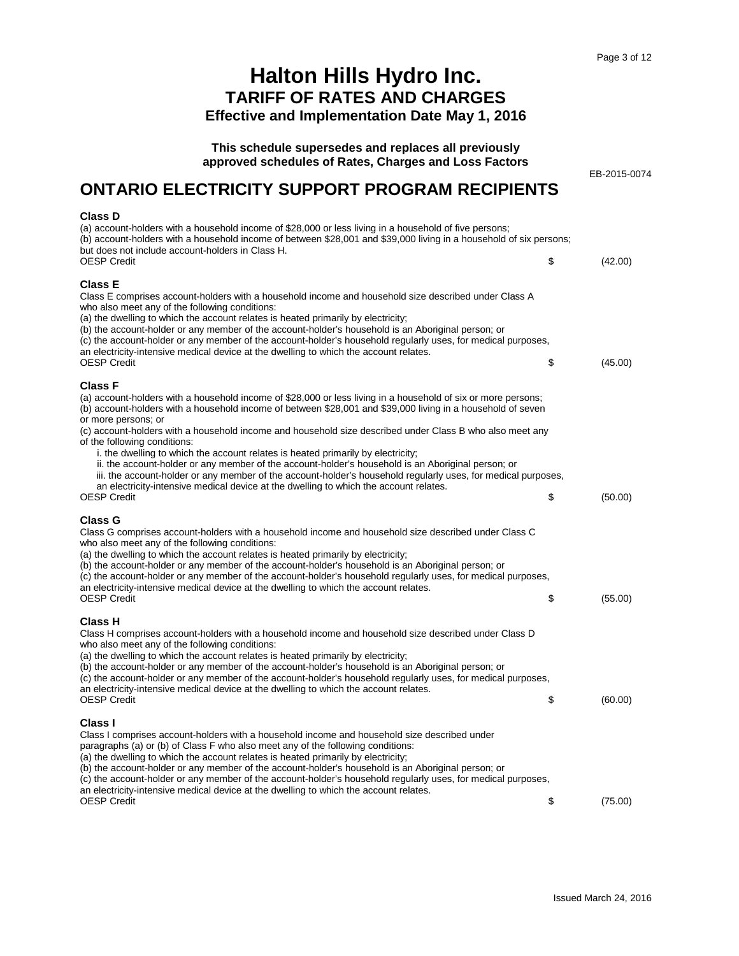EB-2015-0074

# **Halton Hills Hydro Inc. TARIFF OF RATES AND CHARGES**

**Effective and Implementation Date May 1, 2016**

**This schedule supersedes and replaces all previously approved schedules of Rates, Charges and Loss Factors**

# **ONTARIO ELECTRICITY SUPPORT PROGRAM RECIPIENTS**

#### **Class D**

| (a) account-holders with a household income of \$28,000 or less living in a household of five persons;<br>(b) account-holders with a household income of between \$28,001 and \$39,000 living in a household of six persons;<br>but does not include account-holders in Class H.                                                                                                                                                                                                                                                                                                                                                                                                                                                                                                                                                            |               |
|---------------------------------------------------------------------------------------------------------------------------------------------------------------------------------------------------------------------------------------------------------------------------------------------------------------------------------------------------------------------------------------------------------------------------------------------------------------------------------------------------------------------------------------------------------------------------------------------------------------------------------------------------------------------------------------------------------------------------------------------------------------------------------------------------------------------------------------------|---------------|
| OESP Credit                                                                                                                                                                                                                                                                                                                                                                                                                                                                                                                                                                                                                                                                                                                                                                                                                                 | \$<br>(42.00) |
| Class E<br>Class E comprises account-holders with a household income and household size described under Class A<br>who also meet any of the following conditions:<br>(a) the dwelling to which the account relates is heated primarily by electricity;<br>(b) the account-holder or any member of the account-holder's household is an Aboriginal person; or<br>(c) the account-holder or any member of the account-holder's household regularly uses, for medical purposes,<br>an electricity-intensive medical device at the dwelling to which the account relates.<br><b>OESP Credit</b>                                                                                                                                                                                                                                                 | \$<br>(45.00) |
| <b>Class F</b><br>(a) account-holders with a household income of \$28,000 or less living in a household of six or more persons;<br>(b) account-holders with a household income of between \$28,001 and \$39,000 living in a household of seven<br>or more persons; or<br>(c) account-holders with a household income and household size described under Class B who also meet any<br>of the following conditions:<br>i. the dwelling to which the account relates is heated primarily by electricity;<br>ii. the account-holder or any member of the account-holder's household is an Aboriginal person; or<br>iii. the account-holder or any member of the account-holder's household regularly uses, for medical purposes,<br>an electricity-intensive medical device at the dwelling to which the account relates.<br><b>OESP Credit</b> | \$<br>(50.00) |
|                                                                                                                                                                                                                                                                                                                                                                                                                                                                                                                                                                                                                                                                                                                                                                                                                                             |               |
| Class G<br>Class G comprises account-holders with a household income and household size described under Class C<br>who also meet any of the following conditions:<br>(a) the dwelling to which the account relates is heated primarily by electricity;<br>(b) the account-holder or any member of the account-holder's household is an Aboriginal person; or<br>(c) the account-holder or any member of the account-holder's household regularly uses, for medical purposes,<br>an electricity-intensive medical device at the dwelling to which the account relates.<br><b>OESP Credit</b>                                                                                                                                                                                                                                                 | \$<br>(55.00) |
| Class H<br>Class H comprises account-holders with a household income and household size described under Class D<br>who also meet any of the following conditions:<br>(a) the dwelling to which the account relates is heated primarily by electricity;<br>(b) the account-holder or any member of the account-holder's household is an Aboriginal person; or<br>(c) the account-holder or any member of the account-holder's household regularly uses, for medical purposes,<br>an electricity-intensive medical device at the dwelling to which the account relates.<br><b>OESP Credit</b>                                                                                                                                                                                                                                                 | \$<br>(60.00) |
| Class I<br>Class I comprises account-holders with a household income and household size described under<br>paragraphs (a) or (b) of Class F who also meet any of the following conditions:<br>(a) the dwelling to which the account relates is heated primarily by electricity;<br>(b) the account-holder or any member of the account-holder's household is an Aboriginal person; or<br>(c) the account-holder or any member of the account-holder's household regularly uses, for medical purposes,<br>an electricity-intensive medical device at the dwelling to which the account relates.<br><b>OESP Credit</b>                                                                                                                                                                                                                        | \$<br>(75.00) |
|                                                                                                                                                                                                                                                                                                                                                                                                                                                                                                                                                                                                                                                                                                                                                                                                                                             |               |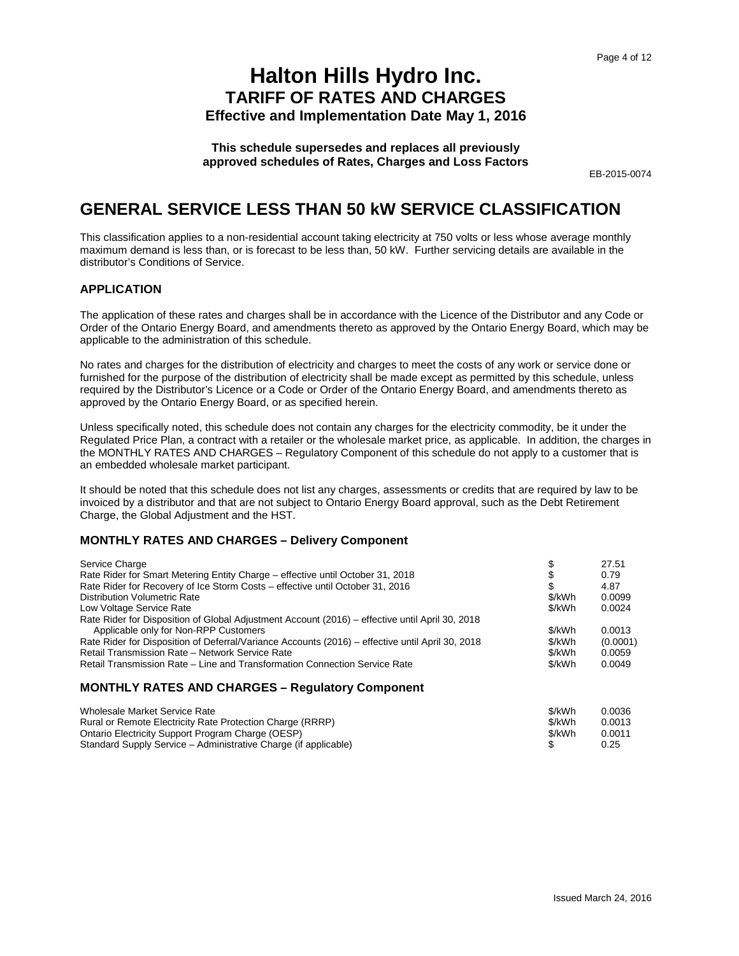**This schedule supersedes and replaces all previously approved schedules of Rates, Charges and Loss Factors**

EB-2015-0074

### **GENERAL SERVICE LESS THAN 50 kW SERVICE CLASSIFICATION**

This classification applies to a non-residential account taking electricity at 750 volts or less whose average monthly maximum demand is less than, or is forecast to be less than, 50 kW. Further servicing details are available in the distributor's Conditions of Service.

#### **APPLICATION**

The application of these rates and charges shall be in accordance with the Licence of the Distributor and any Code or Order of the Ontario Energy Board, and amendments thereto as approved by the Ontario Energy Board, which may be applicable to the administration of this schedule.

No rates and charges for the distribution of electricity and charges to meet the costs of any work or service done or furnished for the purpose of the distribution of electricity shall be made except as permitted by this schedule, unless required by the Distributor's Licence or a Code or Order of the Ontario Energy Board, and amendments thereto as approved by the Ontario Energy Board, or as specified herein.

Unless specifically noted, this schedule does not contain any charges for the electricity commodity, be it under the Regulated Price Plan, a contract with a retailer or the wholesale market price, as applicable. In addition, the charges in the MONTHLY RATES AND CHARGES – Regulatory Component of this schedule do not apply to a customer that is an embedded wholesale market participant.

It should be noted that this schedule does not list any charges, assessments or credits that are required by law to be invoiced by a distributor and that are not subject to Ontario Energy Board approval, such as the Debt Retirement Charge, the Global Adjustment and the HST.

#### **MONTHLY RATES AND CHARGES – Delivery Component**

| Service Charge                                                                                   |        | 27.51    |
|--------------------------------------------------------------------------------------------------|--------|----------|
| Rate Rider for Smart Metering Entity Charge - effective until October 31, 2018                   |        | 0.79     |
| Rate Rider for Recovery of Ice Storm Costs – effective until October 31, 2016                    | S      | 4.87     |
| Distribution Volumetric Rate                                                                     | \$/kWh | 0.0099   |
| Low Voltage Service Rate                                                                         | \$/kWh | 0.0024   |
| Rate Rider for Disposition of Global Adjustment Account (2016) – effective until April 30, 2018  |        |          |
| Applicable only for Non-RPP Customers                                                            | \$/kWh | 0.0013   |
| Rate Rider for Disposition of Deferral/Variance Accounts (2016) – effective until April 30, 2018 | \$/kWh | (0.0001) |
| Retail Transmission Rate - Network Service Rate                                                  | \$/kWh | 0.0059   |
| Retail Transmission Rate – Line and Transformation Connection Service Rate                       | \$/kWh | 0.0049   |
|                                                                                                  |        |          |

| Wholesale Market Service Rate                                   | \$/kWh | 0.0036 |
|-----------------------------------------------------------------|--------|--------|
| Rural or Remote Electricity Rate Protection Charge (RRRP)       | \$/kWh | 0.0013 |
| Ontario Electricity Support Program Charge (OESP)               | \$/kWh | 0.0011 |
| Standard Supply Service – Administrative Charge (if applicable) |        | 0.25   |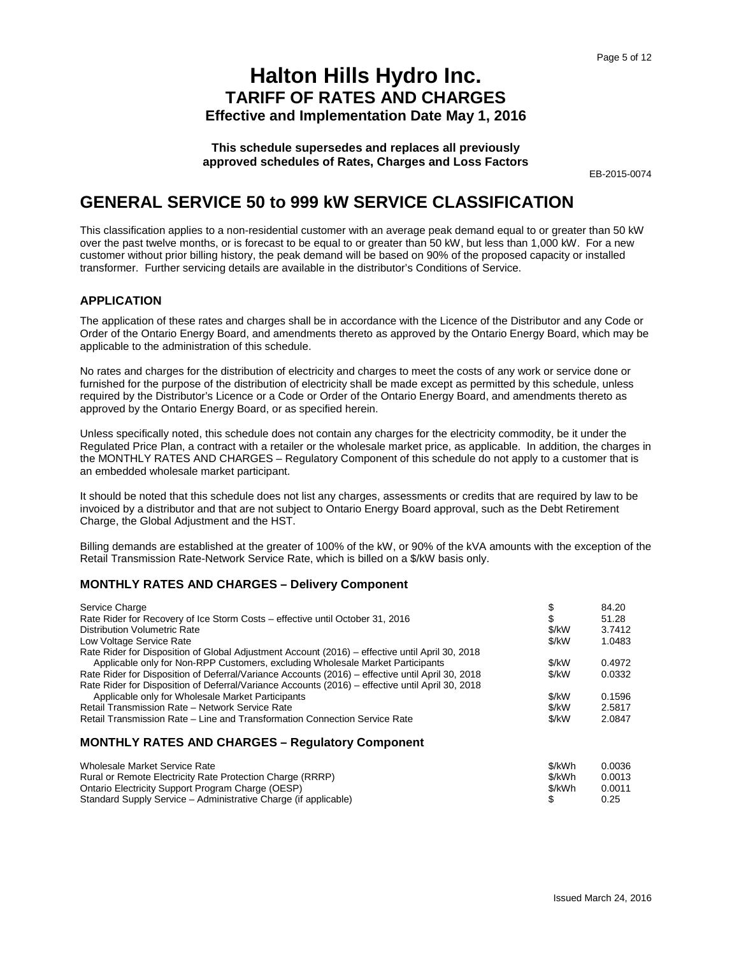**This schedule supersedes and replaces all previously approved schedules of Rates, Charges and Loss Factors**

EB-2015-0074

### **GENERAL SERVICE 50 to 999 kW SERVICE CLASSIFICATION**

This classification applies to a non-residential customer with an average peak demand equal to or greater than 50 kW over the past twelve months, or is forecast to be equal to or greater than 50 kW, but less than 1,000 kW. For a new customer without prior billing history, the peak demand will be based on 90% of the proposed capacity or installed transformer. Further servicing details are available in the distributor's Conditions of Service.

#### **APPLICATION**

The application of these rates and charges shall be in accordance with the Licence of the Distributor and any Code or Order of the Ontario Energy Board, and amendments thereto as approved by the Ontario Energy Board, which may be applicable to the administration of this schedule.

No rates and charges for the distribution of electricity and charges to meet the costs of any work or service done or furnished for the purpose of the distribution of electricity shall be made except as permitted by this schedule, unless required by the Distributor's Licence or a Code or Order of the Ontario Energy Board, and amendments thereto as approved by the Ontario Energy Board, or as specified herein.

Unless specifically noted, this schedule does not contain any charges for the electricity commodity, be it under the Regulated Price Plan, a contract with a retailer or the wholesale market price, as applicable. In addition, the charges in the MONTHLY RATES AND CHARGES – Regulatory Component of this schedule do not apply to a customer that is an embedded wholesale market participant.

It should be noted that this schedule does not list any charges, assessments or credits that are required by law to be invoiced by a distributor and that are not subject to Ontario Energy Board approval, such as the Debt Retirement Charge, the Global Adjustment and the HST.

Billing demands are established at the greater of 100% of the kW, or 90% of the kVA amounts with the exception of the Retail Transmission Rate-Network Service Rate, which is billed on a \$/kW basis only.

#### **MONTHLY RATES AND CHARGES – Delivery Component**

| Service Charge                                                                                   |       | 84.20  |
|--------------------------------------------------------------------------------------------------|-------|--------|
| Rate Rider for Recovery of Ice Storm Costs – effective until October 31, 2016                    | \$    | 51.28  |
| Distribution Volumetric Rate                                                                     | \$/kW | 3.7412 |
| Low Voltage Service Rate                                                                         | \$/kW | 1.0483 |
| Rate Rider for Disposition of Global Adjustment Account (2016) – effective until April 30, 2018  |       |        |
| Applicable only for Non-RPP Customers, excluding Wholesale Market Participants                   | \$/kW | 0.4972 |
| Rate Rider for Disposition of Deferral/Variance Accounts (2016) – effective until April 30, 2018 | \$/kW | 0.0332 |
| Rate Rider for Disposition of Deferral/Variance Accounts (2016) – effective until April 30, 2018 |       |        |
| Applicable only for Wholesale Market Participants                                                | \$/kW | 0.1596 |
| Retail Transmission Rate - Network Service Rate                                                  | \$/kW | 2.5817 |
| Retail Transmission Rate – Line and Transformation Connection Service Rate                       | \$/kW | 2.0847 |
|                                                                                                  |       |        |
| <b>MONTHLY RATES AND CHARGES - Regulatory Component</b>                                          |       |        |

| Wholesale Market Service Rate                                   | \$/kWh | 0.0036 |
|-----------------------------------------------------------------|--------|--------|
| Rural or Remote Electricity Rate Protection Charge (RRRP)       | \$/kWh | 0.0013 |
| Ontario Electricity Support Program Charge (OESP)               | \$/kWh | 0.0011 |
| Standard Supply Service – Administrative Charge (if applicable) |        | 0.25   |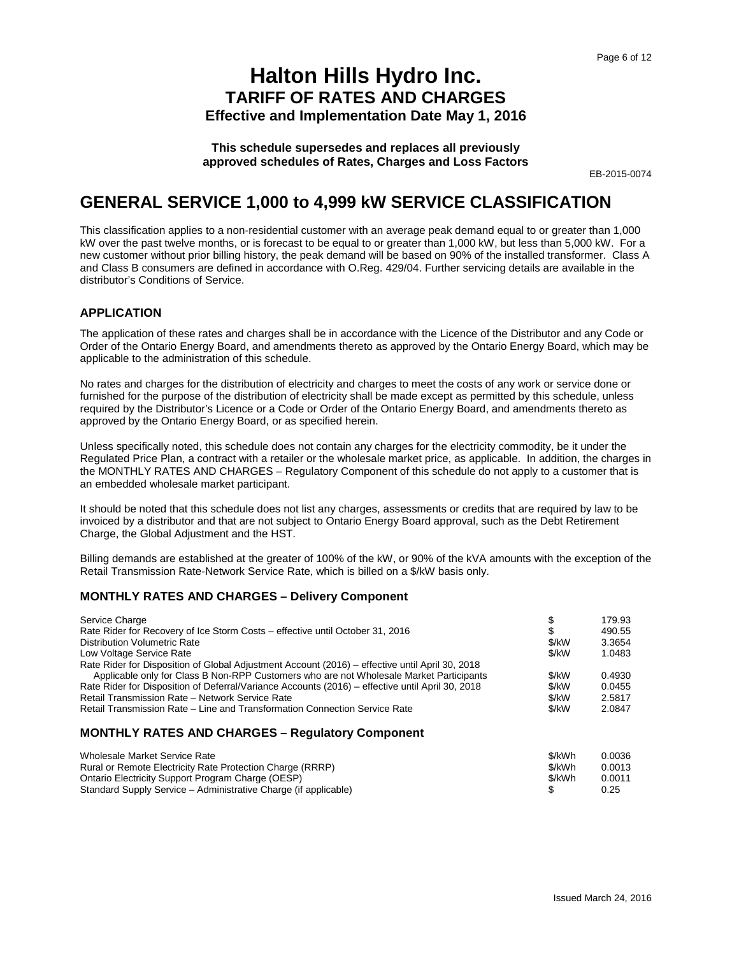**This schedule supersedes and replaces all previously approved schedules of Rates, Charges and Loss Factors**

EB-2015-0074

### **GENERAL SERVICE 1,000 to 4,999 kW SERVICE CLASSIFICATION**

This classification applies to a non-residential customer with an average peak demand equal to or greater than 1,000 kW over the past twelve months, or is forecast to be equal to or greater than 1,000 kW, but less than 5,000 kW. For a new customer without prior billing history, the peak demand will be based on 90% of the installed transformer. Class A and Class B consumers are defined in accordance with O.Reg. 429/04. Further servicing details are available in the distributor's Conditions of Service.

#### **APPLICATION**

The application of these rates and charges shall be in accordance with the Licence of the Distributor and any Code or Order of the Ontario Energy Board, and amendments thereto as approved by the Ontario Energy Board, which may be applicable to the administration of this schedule.

No rates and charges for the distribution of electricity and charges to meet the costs of any work or service done or furnished for the purpose of the distribution of electricity shall be made except as permitted by this schedule, unless required by the Distributor's Licence or a Code or Order of the Ontario Energy Board, and amendments thereto as approved by the Ontario Energy Board, or as specified herein.

Unless specifically noted, this schedule does not contain any charges for the electricity commodity, be it under the Regulated Price Plan, a contract with a retailer or the wholesale market price, as applicable. In addition, the charges in the MONTHLY RATES AND CHARGES – Regulatory Component of this schedule do not apply to a customer that is an embedded wholesale market participant.

It should be noted that this schedule does not list any charges, assessments or credits that are required by law to be invoiced by a distributor and that are not subject to Ontario Energy Board approval, such as the Debt Retirement Charge, the Global Adjustment and the HST.

Billing demands are established at the greater of 100% of the kW, or 90% of the kVA amounts with the exception of the Retail Transmission Rate-Network Service Rate, which is billed on a \$/kW basis only.

#### **MONTHLY RATES AND CHARGES – Delivery Component**

| Service Charge                                                                                   | S       | 179.93 |
|--------------------------------------------------------------------------------------------------|---------|--------|
| Rate Rider for Recovery of Ice Storm Costs – effective until October 31, 2016                    | S       | 490.55 |
| <b>Distribution Volumetric Rate</b>                                                              | \$/kW   | 3.3654 |
| Low Voltage Service Rate                                                                         | \$/kW   | 1.0483 |
| Rate Rider for Disposition of Global Adjustment Account (2016) – effective until April 30, 2018  |         |        |
| Applicable only for Class B Non-RPP Customers who are not Wholesale Market Participants          | \$/kW   | 0.4930 |
| Rate Rider for Disposition of Deferral/Variance Accounts (2016) – effective until April 30, 2018 | \$/kW   | 0.0455 |
| Retail Transmission Rate - Network Service Rate                                                  | \$/kW   | 2.5817 |
| Retail Transmission Rate – Line and Transformation Connection Service Rate                       | $$$ /kW | 2.0847 |
|                                                                                                  |         |        |

| Wholesale Market Service Rate                                   | \$/kWh | 0.0036 |
|-----------------------------------------------------------------|--------|--------|
| Rural or Remote Electricity Rate Protection Charge (RRRP)       | \$/kWh | 0.0013 |
| Ontario Electricity Support Program Charge (OESP)               | \$/kWh | 0.0011 |
| Standard Supply Service – Administrative Charge (if applicable) |        | 0.25   |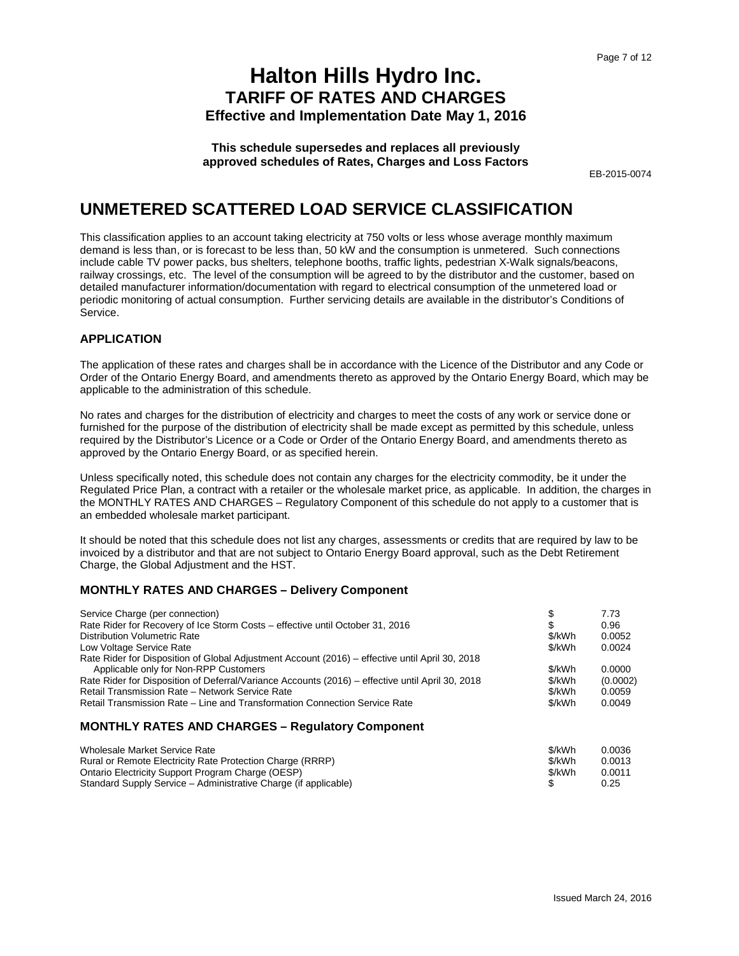**This schedule supersedes and replaces all previously approved schedules of Rates, Charges and Loss Factors**

EB-2015-0074

### **UNMETERED SCATTERED LOAD SERVICE CLASSIFICATION**

This classification applies to an account taking electricity at 750 volts or less whose average monthly maximum demand is less than, or is forecast to be less than, 50 kW and the consumption is unmetered. Such connections include cable TV power packs, bus shelters, telephone booths, traffic lights, pedestrian X-Walk signals/beacons, railway crossings, etc. The level of the consumption will be agreed to by the distributor and the customer, based on detailed manufacturer information/documentation with regard to electrical consumption of the unmetered load or periodic monitoring of actual consumption. Further servicing details are available in the distributor's Conditions of Service.

### **APPLICATION**

The application of these rates and charges shall be in accordance with the Licence of the Distributor and any Code or Order of the Ontario Energy Board, and amendments thereto as approved by the Ontario Energy Board, which may be applicable to the administration of this schedule.

No rates and charges for the distribution of electricity and charges to meet the costs of any work or service done or furnished for the purpose of the distribution of electricity shall be made except as permitted by this schedule, unless required by the Distributor's Licence or a Code or Order of the Ontario Energy Board, and amendments thereto as approved by the Ontario Energy Board, or as specified herein.

Unless specifically noted, this schedule does not contain any charges for the electricity commodity, be it under the Regulated Price Plan, a contract with a retailer or the wholesale market price, as applicable. In addition, the charges in the MONTHLY RATES AND CHARGES – Regulatory Component of this schedule do not apply to a customer that is an embedded wholesale market participant.

It should be noted that this schedule does not list any charges, assessments or credits that are required by law to be invoiced by a distributor and that are not subject to Ontario Energy Board approval, such as the Debt Retirement Charge, the Global Adjustment and the HST.

### **MONTHLY RATES AND CHARGES – Delivery Component**

| Service Charge (per connection)                                                                  |        | 7.73     |
|--------------------------------------------------------------------------------------------------|--------|----------|
| Rate Rider for Recovery of Ice Storm Costs – effective until October 31, 2016                    | S      | 0.96     |
| <b>Distribution Volumetric Rate</b>                                                              | \$/kWh | 0.0052   |
| Low Voltage Service Rate                                                                         | \$/kWh | 0.0024   |
| Rate Rider for Disposition of Global Adjustment Account (2016) – effective until April 30, 2018  |        |          |
| Applicable only for Non-RPP Customers                                                            | \$/kWh | 0.0000   |
| Rate Rider for Disposition of Deferral/Variance Accounts (2016) – effective until April 30, 2018 | \$/kWh | (0.0002) |
| Retail Transmission Rate - Network Service Rate                                                  | \$/kWh | 0.0059   |
| Retail Transmission Rate - Line and Transformation Connection Service Rate                       | \$/kWh | 0.0049   |
| <b>MONTHLY DATES AND CHADGES</b><br>Dogulatory Component                                         |        |          |

| Wholesale Market Service Rate                                   | \$/kWh | 0.0036 |
|-----------------------------------------------------------------|--------|--------|
| Rural or Remote Electricity Rate Protection Charge (RRRP)       | \$/kWh | 0.0013 |
| Ontario Electricity Support Program Charge (OESP)               | \$/kWh | 0.0011 |
| Standard Supply Service – Administrative Charge (if applicable) |        | 0.25   |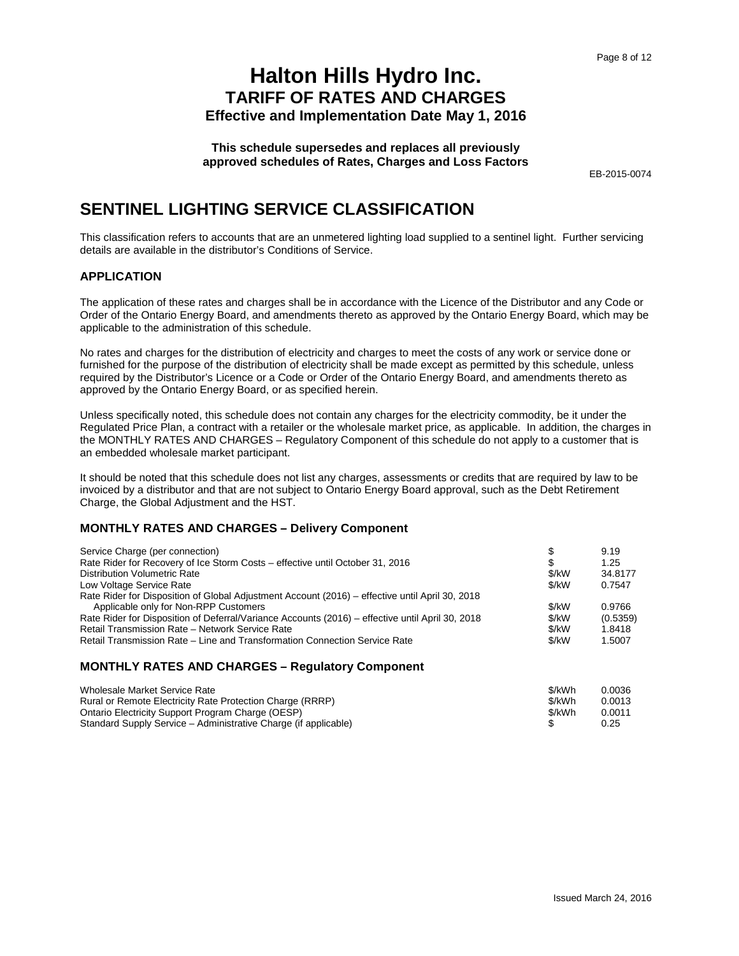**This schedule supersedes and replaces all previously approved schedules of Rates, Charges and Loss Factors**

EB-2015-0074

### **SENTINEL LIGHTING SERVICE CLASSIFICATION**

This classification refers to accounts that are an unmetered lighting load supplied to a sentinel light. Further servicing details are available in the distributor's Conditions of Service.

#### **APPLICATION**

The application of these rates and charges shall be in accordance with the Licence of the Distributor and any Code or Order of the Ontario Energy Board, and amendments thereto as approved by the Ontario Energy Board, which may be applicable to the administration of this schedule.

No rates and charges for the distribution of electricity and charges to meet the costs of any work or service done or furnished for the purpose of the distribution of electricity shall be made except as permitted by this schedule, unless required by the Distributor's Licence or a Code or Order of the Ontario Energy Board, and amendments thereto as approved by the Ontario Energy Board, or as specified herein.

Unless specifically noted, this schedule does not contain any charges for the electricity commodity, be it under the Regulated Price Plan, a contract with a retailer or the wholesale market price, as applicable. In addition, the charges in the MONTHLY RATES AND CHARGES – Regulatory Component of this schedule do not apply to a customer that is an embedded wholesale market participant.

It should be noted that this schedule does not list any charges, assessments or credits that are required by law to be invoiced by a distributor and that are not subject to Ontario Energy Board approval, such as the Debt Retirement Charge, the Global Adjustment and the HST.

#### **MONTHLY RATES AND CHARGES – Delivery Component**

| Service Charge (per connection)                                                                  |       | 9.19     |
|--------------------------------------------------------------------------------------------------|-------|----------|
| Rate Rider for Recovery of Ice Storm Costs – effective until October 31, 2016                    |       | 1.25     |
| <b>Distribution Volumetric Rate</b>                                                              | \$/kW | 34.8177  |
| Low Voltage Service Rate                                                                         | \$/kW | 0.7547   |
| Rate Rider for Disposition of Global Adjustment Account (2016) – effective until April 30, 2018  |       |          |
| Applicable only for Non-RPP Customers                                                            | \$/kW | 0.9766   |
| Rate Rider for Disposition of Deferral/Variance Accounts (2016) – effective until April 30, 2018 | \$/kW | (0.5359) |
| Retail Transmission Rate - Network Service Rate                                                  | \$/kW | 1.8418   |
| Retail Transmission Rate – Line and Transformation Connection Service Rate                       | \$/kW | 1.5007   |

| Wholesale Market Service Rate                                   | \$/kWh | 0.0036 |
|-----------------------------------------------------------------|--------|--------|
| Rural or Remote Electricity Rate Protection Charge (RRRP)       | \$/kWh | 0.0013 |
| Ontario Electricity Support Program Charge (OESP)               | \$/kWh | 0.0011 |
| Standard Supply Service – Administrative Charge (if applicable) |        | 0.25   |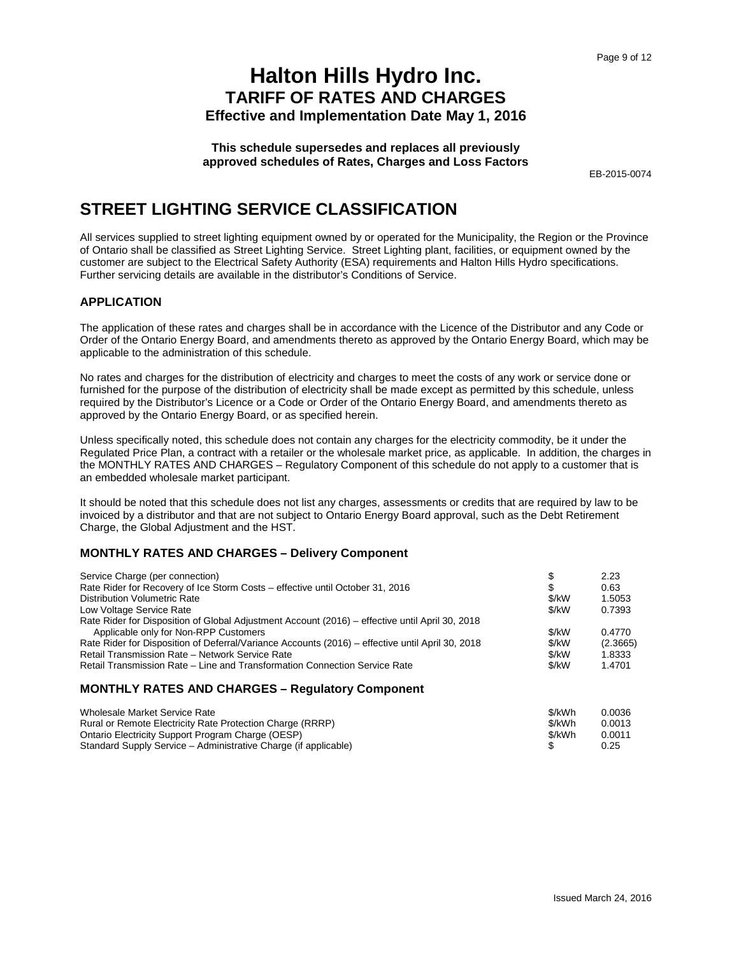**This schedule supersedes and replaces all previously approved schedules of Rates, Charges and Loss Factors**

EB-2015-0074

### **STREET LIGHTING SERVICE CLASSIFICATION**

All services supplied to street lighting equipment owned by or operated for the Municipality, the Region or the Province of Ontario shall be classified as Street Lighting Service. Street Lighting plant, facilities, or equipment owned by the customer are subject to the Electrical Safety Authority (ESA) requirements and Halton Hills Hydro specifications. Further servicing details are available in the distributor's Conditions of Service.

### **APPLICATION**

The application of these rates and charges shall be in accordance with the Licence of the Distributor and any Code or Order of the Ontario Energy Board, and amendments thereto as approved by the Ontario Energy Board, which may be applicable to the administration of this schedule.

No rates and charges for the distribution of electricity and charges to meet the costs of any work or service done or furnished for the purpose of the distribution of electricity shall be made except as permitted by this schedule, unless required by the Distributor's Licence or a Code or Order of the Ontario Energy Board, and amendments thereto as approved by the Ontario Energy Board, or as specified herein.

Unless specifically noted, this schedule does not contain any charges for the electricity commodity, be it under the Regulated Price Plan, a contract with a retailer or the wholesale market price, as applicable. In addition, the charges in the MONTHLY RATES AND CHARGES – Regulatory Component of this schedule do not apply to a customer that is an embedded wholesale market participant.

It should be noted that this schedule does not list any charges, assessments or credits that are required by law to be invoiced by a distributor and that are not subject to Ontario Energy Board approval, such as the Debt Retirement Charge, the Global Adjustment and the HST.

#### **MONTHLY RATES AND CHARGES – Delivery Component**

| Service Charge (per connection)                                                                  |       | 2.23     |
|--------------------------------------------------------------------------------------------------|-------|----------|
| Rate Rider for Recovery of Ice Storm Costs – effective until October 31, 2016                    | S     | 0.63     |
| <b>Distribution Volumetric Rate</b>                                                              | \$/kW | 1.5053   |
| Low Voltage Service Rate                                                                         | \$/kW | 0.7393   |
| Rate Rider for Disposition of Global Adjustment Account (2016) – effective until April 30, 2018  |       |          |
| Applicable only for Non-RPP Customers                                                            | \$/kW | 0.4770   |
| Rate Rider for Disposition of Deferral/Variance Accounts (2016) – effective until April 30, 2018 | \$/kW | (2.3665) |
| Retail Transmission Rate - Network Service Rate                                                  | \$/kW | 1.8333   |
| Retail Transmission Rate – Line and Transformation Connection Service Rate                       | \$/kW | 1.4701   |
|                                                                                                  |       |          |

| Wholesale Market Service Rate                                   | \$/kWh | 0.0036 |
|-----------------------------------------------------------------|--------|--------|
| Rural or Remote Electricity Rate Protection Charge (RRRP)       | \$/kWh | 0.0013 |
| Ontario Electricity Support Program Charge (OESP)               | \$/kWh | 0.0011 |
| Standard Supply Service – Administrative Charge (if applicable) |        | 0.25   |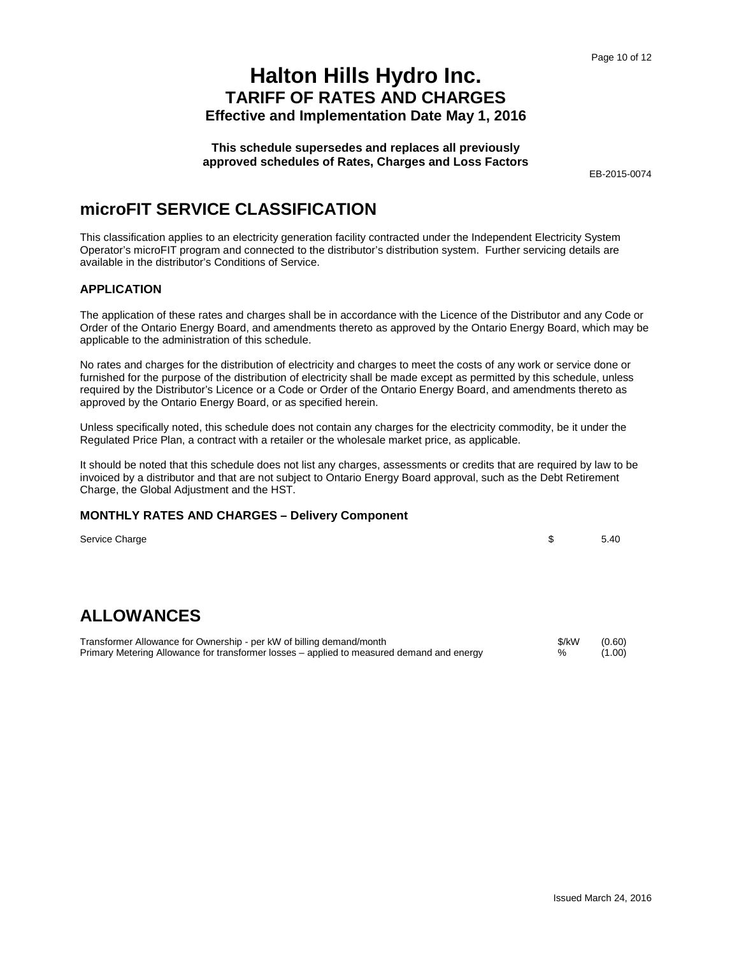**This schedule supersedes and replaces all previously approved schedules of Rates, Charges and Loss Factors**

EB-2015-0074

### **microFIT SERVICE CLASSIFICATION**

This classification applies to an electricity generation facility contracted under the Independent Electricity System Operator's microFIT program and connected to the distributor's distribution system. Further servicing details are available in the distributor's Conditions of Service.

### **APPLICATION**

The application of these rates and charges shall be in accordance with the Licence of the Distributor and any Code or Order of the Ontario Energy Board, and amendments thereto as approved by the Ontario Energy Board, which may be applicable to the administration of this schedule.

No rates and charges for the distribution of electricity and charges to meet the costs of any work or service done or furnished for the purpose of the distribution of electricity shall be made except as permitted by this schedule, unless required by the Distributor's Licence or a Code or Order of the Ontario Energy Board, and amendments thereto as approved by the Ontario Energy Board, or as specified herein.

Unless specifically noted, this schedule does not contain any charges for the electricity commodity, be it under the Regulated Price Plan, a contract with a retailer or the wholesale market price, as applicable.

It should be noted that this schedule does not list any charges, assessments or credits that are required by law to be invoiced by a distributor and that are not subject to Ontario Energy Board approval, such as the Debt Retirement Charge, the Global Adjustment and the HST.

#### **MONTHLY RATES AND CHARGES – Delivery Component**

Service Charge 5.40

### **ALLOWANCES**

Transformer Allowance for Ownership - per kW of billing demand/month<br>
Primary Metering Allowance for transformer losses – applied to measured demand and energy 66 (1.00) Primary Metering Allowance for transformer losses – applied to measured demand and energy  $\%$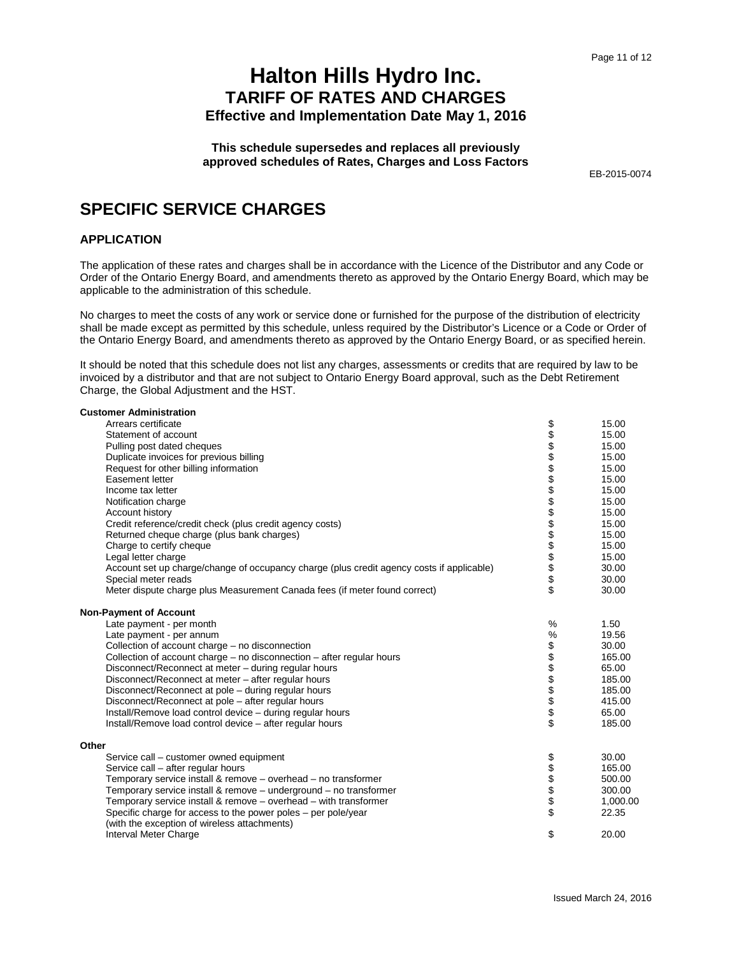**This schedule supersedes and replaces all previously approved schedules of Rates, Charges and Loss Factors**

EB-2015-0074

### **SPECIFIC SERVICE CHARGES**

#### **APPLICATION**

The application of these rates and charges shall be in accordance with the Licence of the Distributor and any Code or Order of the Ontario Energy Board, and amendments thereto as approved by the Ontario Energy Board, which may be applicable to the administration of this schedule.

No charges to meet the costs of any work or service done or furnished for the purpose of the distribution of electricity shall be made except as permitted by this schedule, unless required by the Distributor's Licence or a Code or Order of the Ontario Energy Board, and amendments thereto as approved by the Ontario Energy Board, or as specified herein.

It should be noted that this schedule does not list any charges, assessments or credits that are required by law to be invoiced by a distributor and that are not subject to Ontario Energy Board approval, such as the Debt Retirement Charge, the Global Adjustment and the HST.

| <b>Customer Administration</b>                                                            |                 |          |
|-------------------------------------------------------------------------------------------|-----------------|----------|
| Arrears certificate                                                                       |                 | 15.00    |
| Statement of account                                                                      |                 | 15.00    |
| Pulling post dated cheques                                                                |                 | 15.00    |
| Duplicate invoices for previous billing                                                   |                 | 15.00    |
| Request for other billing information                                                     |                 | 15.00    |
| Easement letter                                                                           |                 | 15.00    |
| Income tax letter                                                                         |                 | 15.00    |
| Notification charge                                                                       |                 | 15.00    |
| Account history                                                                           |                 | 15.00    |
| Credit reference/credit check (plus credit agency costs)                                  |                 | 15.00    |
| Returned cheque charge (plus bank charges)                                                |                 | 15.00    |
| Charge to certify cheque                                                                  |                 | 15.00    |
| Legal letter charge                                                                       |                 | 15.00    |
| Account set up charge/change of occupancy charge (plus credit agency costs if applicable) |                 | 30.00    |
| Special meter reads                                                                       |                 | 30.00    |
| Meter dispute charge plus Measurement Canada fees (if meter found correct)                | \$              | 30.00    |
| <b>Non-Payment of Account</b>                                                             |                 |          |
| Late payment - per month                                                                  | %               | 1.50     |
| Late payment - per annum                                                                  | %               | 19.56    |
| Collection of account charge - no disconnection                                           |                 | 30.00    |
| Collection of account charge – no disconnection – after regular hours                     | <b>88888888</b> | 165.00   |
| Disconnect/Reconnect at meter - during regular hours                                      |                 | 65.00    |
| Disconnect/Reconnect at meter – after regular hours                                       |                 | 185.00   |
| Disconnect/Reconnect at pole - during regular hours                                       |                 | 185.00   |
| Disconnect/Reconnect at pole - after regular hours                                        |                 | 415.00   |
| Install/Remove load control device - during regular hours                                 |                 | 65.00    |
| Install/Remove load control device - after regular hours                                  |                 | 185.00   |
| Other                                                                                     |                 |          |
| Service call – customer owned equipment                                                   |                 | 30.00    |
| Service call - after regular hours                                                        | <b>88888</b>    | 165.00   |
| Temporary service install & remove - overhead - no transformer                            |                 | 500.00   |
| Temporary service install & remove – underground – no transformer                         |                 | 300.00   |
| Temporary service install & remove – overhead – with transformer                          |                 | 1,000.00 |
| Specific charge for access to the power poles – per pole/year                             | \$              | 22.35    |
| (with the exception of wireless attachments)                                              |                 |          |
| Interval Meter Charge                                                                     | \$              | 20.00    |